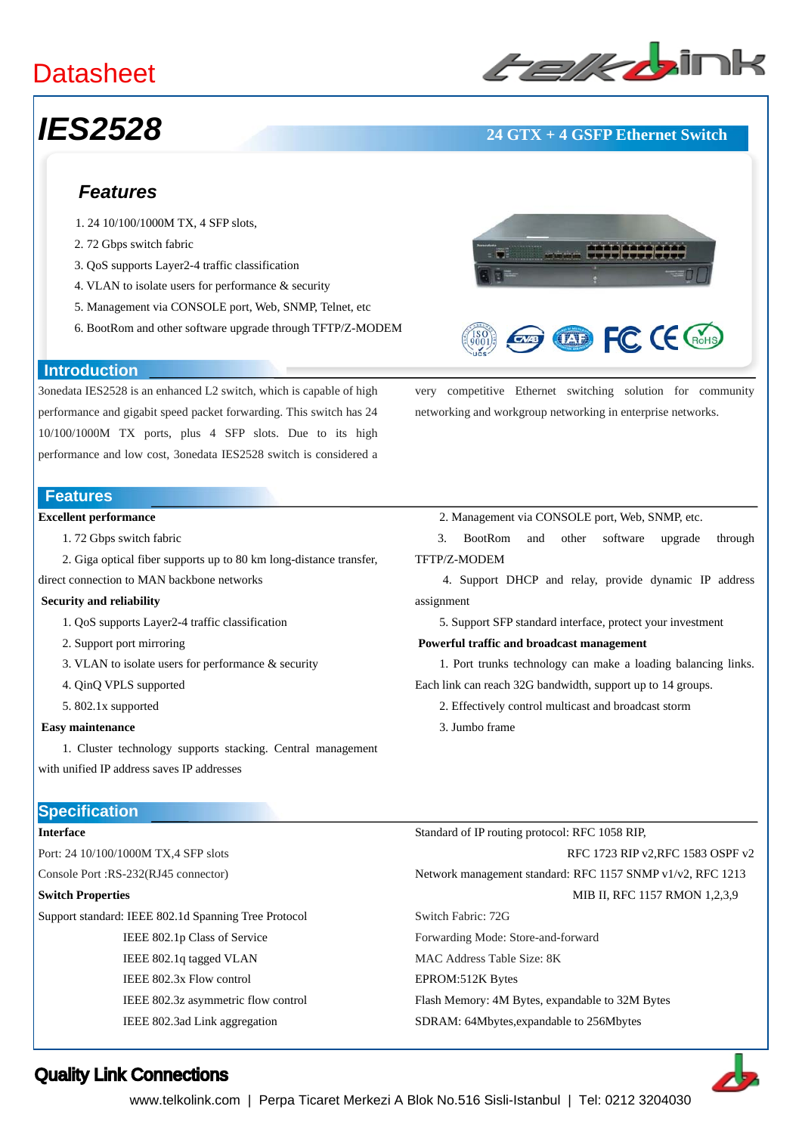### **Datasheet**

# ﹥﹥**Layer-2 Ethernet Switches**

### *IES2528* **24 GTX + 4 GSFP Ethernet Switch**

#### *Features*

- 1. 24 10/100/1000M TX, 4 SFP slots,
- 2. 72 Gbps switch fabric
- 3. QoS supports Layer2-4 traffic classification
- 4. VLAN to isolate users for performance & security
- 5. Management via CONSOLE port, Web, SNMP, Telnet, etc
- 6. BootRom and other software upgrade through TFTP/Z-MODEM

#### **Introduction**

3onedata IES2528 is an enhanced L2 switch, which is capable of high performance and gigabit speed packet forwarding. This switch has 24 10/100/1000M TX ports, plus 4 SFP slots. Due to its high performance and low cost, 3onedata IES2528 switch is considered a

#### **Features**

#### **Excellent performance**

- 1. 72 Gbps switch fabric
- 2. Giga optical fiber supports up to 80 km long-distance transfer,

direct connection to MAN backbone networks

#### **Security and reliability**

- 1. QoS supports Layer2-4 traffic classification
- 2. Support port mirroring
- 3. VLAN to isolate users for performance & security
- 4. QinQ VPLS supported
- 5. 802.1x supported

#### **Easy maintenance**

 1. Cluster technology supports stacking. Central management with unified IP address saves IP addresses

#### **Specification**

#### **Interface**

Port: 24 10/100/1000M TX,4 SFP slots Console Port :RS-232(RJ45 connector)

#### **Switch Properties**

Support standard: IEEE 802.1d Spanning Tree Protocol IEEE 802.1p Class of Service IEEE 802.1q tagged VLAN

IEEE 802.3x Flow control

IEEE 802.3z asymmetric flow control IEEE 802.3ad Link aggregation



3. BootRom and other software upgrade through TFTP/Z-MODEM

very competitive Ethernet switching solution for community

 $\overline{AB}$  FC (E  $\overline{AB}$ 

networking and workgroup networking in enterprise networks.

 4. Support DHCP and relay, provide dynamic IP address assignment

5. Support SFP standard interface, protect your investment

#### **Powerful traffic and broadcast management**

 1. Port trunks technology can make a loading balancing links. Each link can reach 32G bandwidth, support up to 14 groups.

- 2. Effectively control multicast and broadcast storm
- 3. Jumbo frame

Standard of IP routing protocol: RFC 1058 RIP,

#### RFC 1723 RIP v2,RFC 1583 OSPF v2

Network management standard: RFC 1157 SNMP v1/v2, RFC 1213 MIB II, RFC 1157 RMON 1,2,3,9

Switch Fabric: 72G Forwarding Mode: Store-and-forward

MAC Address Table Size: 8K

EPROM:512K Bytes

Flash Memory: 4M Bytes, expandable to 32M Bytes

#### SDRAM: 64Mbytes,expandable to 256Mbytes



www.telkolink.com | Perpa Ticaret Merkezi A Blok No.516 Sisli-Istanbul | Tel: 0212 3204030